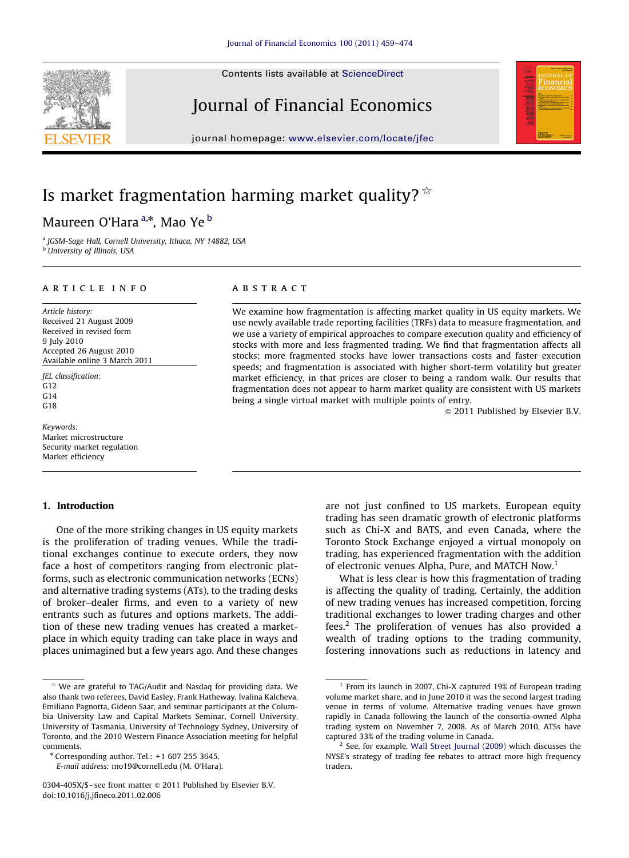Contents lists available at ScienceDirect





journal homepage: <www.elsevier.com/locate/jfec>



# Is market fragmentation harming market quality?  $\mathbb{R}^2$

### Maureen O'Hara <sup>a,</sup>\*, Mao Ye <sup>b</sup>

<sup>a</sup> JGSM-Sage Hall, Cornell University, Ithaca, NY 14882, USA **b** University of Illinois, USA

#### article info

Article history: Received 21 August 2009 Received in revised form 9 July 2010 Accepted 26 August 2010 Available online 3 March 2011

JEL classification: G12 G14 G18

Keywords: Market microstructure Security market regulation Market efficiency

#### 1. Introduction

One of the more striking changes in US equity markets is the proliferation of trading venues. While the traditional exchanges continue to execute orders, they now face a host of competitors ranging from electronic platforms, such as electronic communication networks (ECNs) and alternative trading systems (ATs), to the trading desks of broker–dealer firms, and even to a variety of new entrants such as futures and options markets. The addition of these new trading venues has created a marketplace in which equity trading can take place in ways and places unimagined but a few years ago. And these changes

### **ABSTRACT**

We examine how fragmentation is affecting market quality in US equity markets. We use newly available trade reporting facilities (TRFs) data to measure fragmentation, and we use a variety of empirical approaches to compare execution quality and efficiency of stocks with more and less fragmented trading. We find that fragmentation affects all stocks; more fragmented stocks have lower transactions costs and faster execution speeds; and fragmentation is associated with higher short-term volatility but greater market efficiency, in that prices are closer to being a random walk. Our results that fragmentation does not appear to harm market quality are consistent with US markets being a single virtual market with multiple points of entry.

 $\odot$  2011 Published by Elsevier B.V.

are not just confined to US markets. European equity trading has seen dramatic growth of electronic platforms such as Chi-X and BATS, and even Canada, where the Toronto Stock Exchange enjoyed a virtual monopoly on trading, has experienced fragmentation with the addition of electronic venues Alpha, Pure, and MATCH Now.1

What is less clear is how this fragmentation of trading is affecting the quality of trading. Certainly, the addition of new trading venues has increased competition, forcing traditional exchanges to lower trading charges and other fees.2 The proliferation of venues has also provided a wealth of trading options to the trading community, fostering innovations such as reductions in latency and

 $*$  We are grateful to TAG/Audit and Nasdaq for providing data. We also thank two referees, David Easley, Frank Hatheway, Ivalina Kalcheva, Emiliano Pagnotta, Gideon Saar, and seminar participants at the Columbia University Law and Capital Markets Seminar, Cornell University, University of Tasmania, University of Technology Sydney, University of Toronto, and the 2010 Western Finance Association meeting for helpful comments.

 $*$  Corresponding author. Tel.:  $+1$  607 255 3645.

E-mail address: [mo19@cornell.edu \(M. O'Hara\).](mailto:mo19@cornell.edu)

<sup>0304-405</sup>X/\$ - see front matter  $\circ$  2011 Published by Elsevier B.V. doi:[10.1016/j.jfineco.2011.02.006](dx.doi.org/10.1016/j.jfineco.2011.02.006)

 $1$  From its launch in 2007, Chi-X captured 19% of European trading volume market share, and in June 2010 it was the second largest trading venue in terms of volume. Alternative trading venues have grown rapidly in Canada following the launch of the consortia-owned Alpha trading system on November 7, 2008. As of March 2010, ATSs have captured 33% of the trading volume in Canada.

<sup>2</sup> See, for example, [Wall Street Journal \(2009\)](#page--1-0) which discusses the NYSE's strategy of trading fee rebates to attract more high frequency traders.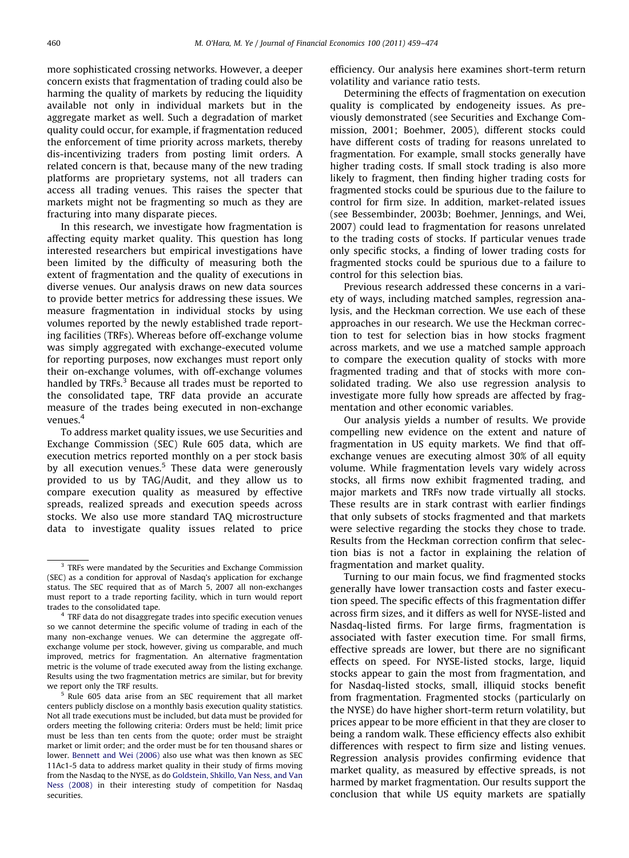more sophisticated crossing networks. However, a deeper concern exists that fragmentation of trading could also be harming the quality of markets by reducing the liquidity available not only in individual markets but in the aggregate market as well. Such a degradation of market quality could occur, for example, if fragmentation reduced the enforcement of time priority across markets, thereby dis-incentivizing traders from posting limit orders. A related concern is that, because many of the new trading platforms are proprietary systems, not all traders can access all trading venues. This raises the specter that markets might not be fragmenting so much as they are fracturing into many disparate pieces.

In this research, we investigate how fragmentation is affecting equity market quality. This question has long interested researchers but empirical investigations have been limited by the difficulty of measuring both the extent of fragmentation and the quality of executions in diverse venues. Our analysis draws on new data sources to provide better metrics for addressing these issues. We measure fragmentation in individual stocks by using volumes reported by the newly established trade reporting facilities (TRFs). Whereas before off-exchange volume was simply aggregated with exchange-executed volume for reporting purposes, now exchanges must report only their on-exchange volumes, with off-exchange volumes handled by TRFs. $3$  Because all trades must be reported to the consolidated tape, TRF data provide an accurate measure of the trades being executed in non-exchange venues.4

To address market quality issues, we use Securities and Exchange Commission (SEC) Rule 605 data, which are execution metrics reported monthly on a per stock basis by all execution venues.<sup>5</sup> These data were generously provided to us by TAG/Audit, and they allow us to compare execution quality as measured by effective spreads, realized spreads and execution speeds across stocks. We also use more standard TAQ microstructure data to investigate quality issues related to price

efficiency. Our analysis here examines short-term return volatility and variance ratio tests.

Determining the effects of fragmentation on execution quality is complicated by endogeneity issues. As previously demonstrated (see Securities and Exchange Commission, 2001; Boehmer, 2005), different stocks could have different costs of trading for reasons unrelated to fragmentation. For example, small stocks generally have higher trading costs. If small stock trading is also more likely to fragment, then finding higher trading costs for fragmented stocks could be spurious due to the failure to control for firm size. In addition, market-related issues (see Bessembinder, 2003b; Boehmer, Jennings, and Wei, 2007) could lead to fragmentation for reasons unrelated to the trading costs of stocks. If particular venues trade only specific stocks, a finding of lower trading costs for fragmented stocks could be spurious due to a failure to control for this selection bias.

Previous research addressed these concerns in a variety of ways, including matched samples, regression analysis, and the Heckman correction. We use each of these approaches in our research. We use the Heckman correction to test for selection bias in how stocks fragment across markets, and we use a matched sample approach to compare the execution quality of stocks with more fragmented trading and that of stocks with more consolidated trading. We also use regression analysis to investigate more fully how spreads are affected by fragmentation and other economic variables.

Our analysis yields a number of results. We provide compelling new evidence on the extent and nature of fragmentation in US equity markets. We find that offexchange venues are executing almost 30% of all equity volume. While fragmentation levels vary widely across stocks, all firms now exhibit fragmented trading, and major markets and TRFs now trade virtually all stocks. These results are in stark contrast with earlier findings that only subsets of stocks fragmented and that markets were selective regarding the stocks they chose to trade. Results from the Heckman correction confirm that selection bias is not a factor in explaining the relation of fragmentation and market quality.

Turning to our main focus, we find fragmented stocks generally have lower transaction costs and faster execution speed. The specific effects of this fragmentation differ across firm sizes, and it differs as well for NYSE-listed and Nasdaq-listed firms. For large firms, fragmentation is associated with faster execution time. For small firms, effective spreads are lower, but there are no significant effects on speed. For NYSE-listed stocks, large, liquid stocks appear to gain the most from fragmentation, and for Nasdaq-listed stocks, small, illiquid stocks benefit from fragmentation. Fragmented stocks (particularly on the NYSE) do have higher short-term return volatility, but prices appear to be more efficient in that they are closer to being a random walk. These efficiency effects also exhibit differences with respect to firm size and listing venues. Regression analysis provides confirming evidence that market quality, as measured by effective spreads, is not harmed by market fragmentation. Our results support the conclusion that while US equity markets are spatially

<sup>&</sup>lt;sup>3</sup> TRFs were mandated by the Securities and Exchange Commission (SEC) as a condition for approval of Nasdaq's application for exchange status. The SEC required that as of March 5, 2007 all non-exchanges must report to a trade reporting facility, which in turn would report trades to the consolidated tape.

TRF data do not disaggregate trades into specific execution venues so we cannot determine the specific volume of trading in each of the many non-exchange venues. We can determine the aggregate offexchange volume per stock, however, giving us comparable, and much improved, metrics for fragmentation. An alternative fragmentation metric is the volume of trade executed away from the listing exchange. Results using the two fragmentation metrics are similar, but for brevity we report only the TRF results.

<sup>5</sup> Rule 605 data arise from an SEC requirement that all market centers publicly disclose on a monthly basis execution quality statistics. Not all trade executions must be included, but data must be provided for orders meeting the following criteria: Orders must be held; limit price must be less than ten cents from the quote; order must be straight market or limit order; and the order must be for ten thousand shares or lower. [Bennett and Wei \(2006\)](#page--1-0) also use what was then known as SEC 11Ac1-5 data to address market quality in their study of firms moving from the Nasdaq to the NYSE, as do [Goldstein, Shkillo, Van Ness, and Van](#page--1-0) [Ness \(2008\)](#page--1-0) in their interesting study of competition for Nasdaq securities.